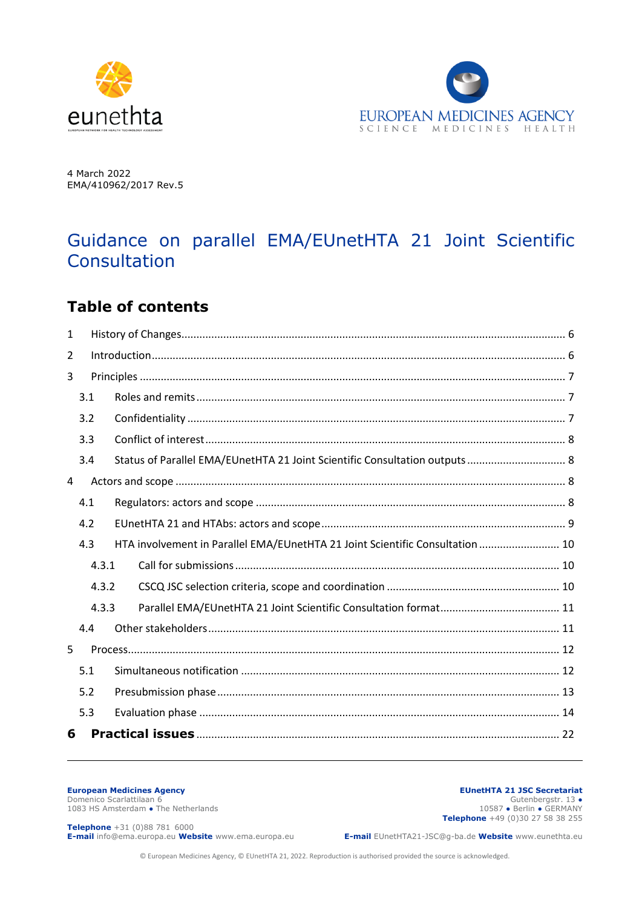



4 March 2022 EMA/410962/2017 Rev.5

# Guidance on parallel EMA/EUnetHTA 21 Joint Scientific **Consultation**

# **Table of contents**

| $\mathbf{1}$ |       |  |                                                                               |  |
|--------------|-------|--|-------------------------------------------------------------------------------|--|
| 2            |       |  |                                                                               |  |
| 3            |       |  |                                                                               |  |
| 3.1          |       |  |                                                                               |  |
| 3.2          |       |  |                                                                               |  |
| 3.3          |       |  |                                                                               |  |
| 3.4          |       |  | Status of Parallel EMA/EUnetHTA 21 Joint Scientific Consultation outputs 8    |  |
| 4            |       |  |                                                                               |  |
| 4.1          |       |  |                                                                               |  |
| 4.2          |       |  |                                                                               |  |
| 4.3          |       |  | HTA involvement in Parallel EMA/EUnetHTA 21 Joint Scientific Consultation  10 |  |
|              | 4.3.1 |  |                                                                               |  |
|              | 4.3.2 |  |                                                                               |  |
|              | 4.3.3 |  |                                                                               |  |
| 4.4          |       |  |                                                                               |  |
| 5            |       |  |                                                                               |  |
| 5.1          |       |  |                                                                               |  |
| 5.2          |       |  |                                                                               |  |
| 5.3          |       |  |                                                                               |  |
| 6            |       |  |                                                                               |  |

#### **European Medicines Agency**

Domenico Scarlattilaan 6 1083 HS Amsterdam • The Netherlands

#### **EUnetHTA 21 JSC Secretariat** Gutenbergstr. 13 **●** 10587 **●** Berlin **●** GERMANY **Telephone** +49 (0)30 27 58 38 255

**Telephone** +31 (0)88 781 6000 **E-mail** info@ema.europa.eu **Website** www.ema.europa.eu

**E-mail** EUnetHTA21-JSC@g-ba.de **Website** www.eunethta.eu

© European Medicines Agency, © EUnetHTA 21, 2022. Reproduction is authorised provided the source is acknowledged.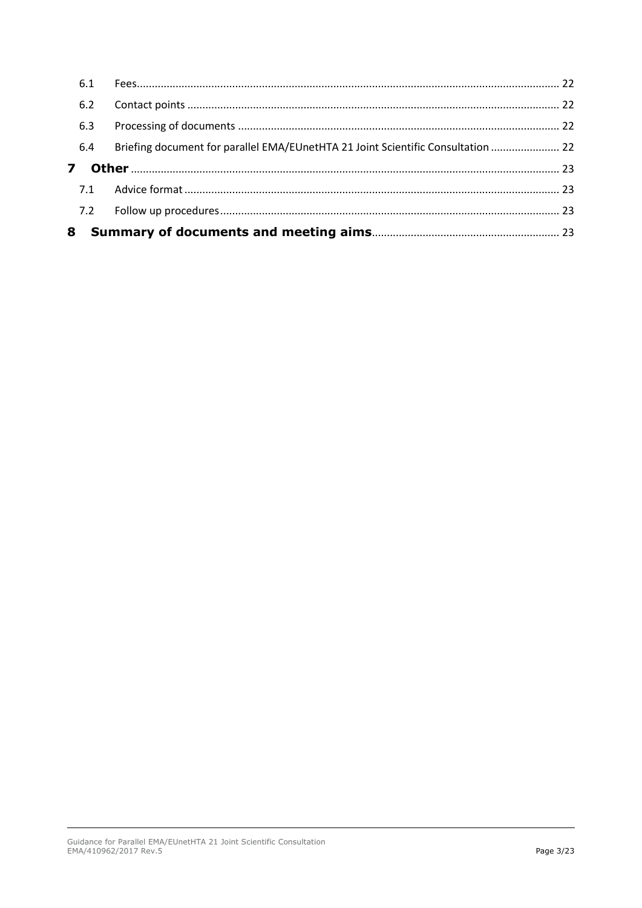| 8                       |                                                                                  |  |
|-------------------------|----------------------------------------------------------------------------------|--|
|                         |                                                                                  |  |
|                         |                                                                                  |  |
| $\overline{\mathbf{z}}$ |                                                                                  |  |
| 6.4                     | Briefing document for parallel EMA/EUnetHTA 21 Joint Scientific Consultation  22 |  |
| 6.3                     |                                                                                  |  |
| 6.2                     |                                                                                  |  |
|                         |                                                                                  |  |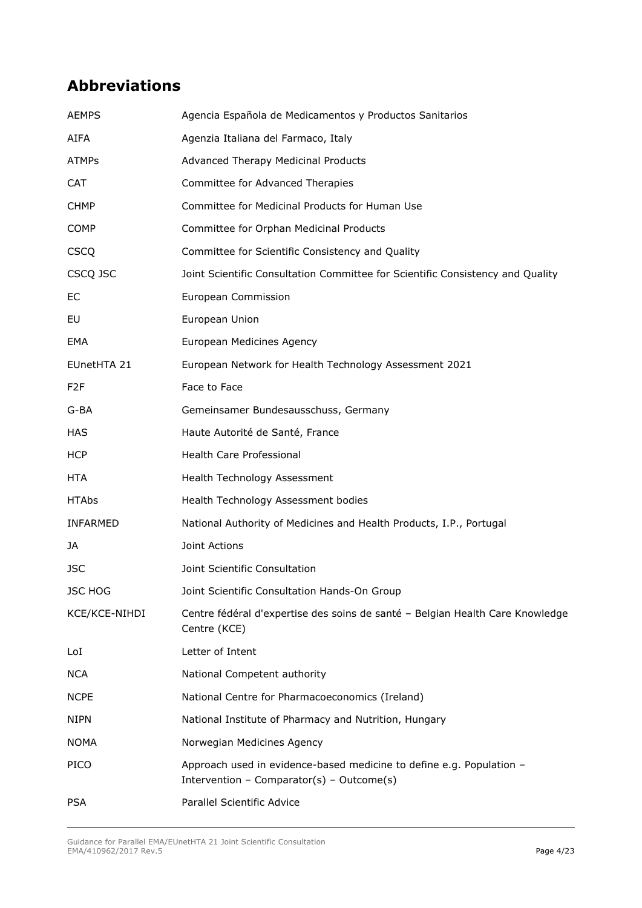# **Abbreviations**

| <b>AEMPS</b>     | Agencia Española de Medicamentos y Productos Sanitarios                                                           |
|------------------|-------------------------------------------------------------------------------------------------------------------|
| <b>AIFA</b>      | Agenzia Italiana del Farmaco, Italy                                                                               |
| <b>ATMPs</b>     | Advanced Therapy Medicinal Products                                                                               |
| <b>CAT</b>       | Committee for Advanced Therapies                                                                                  |
| <b>CHMP</b>      | Committee for Medicinal Products for Human Use                                                                    |
| <b>COMP</b>      | Committee for Orphan Medicinal Products                                                                           |
| <b>CSCQ</b>      | Committee for Scientific Consistency and Quality                                                                  |
| CSCQ JSC         | Joint Scientific Consultation Committee for Scientific Consistency and Quality                                    |
| EC               | European Commission                                                                                               |
| EU               | European Union                                                                                                    |
| EMA              | European Medicines Agency                                                                                         |
| EUnetHTA 21      | European Network for Health Technology Assessment 2021                                                            |
| F <sub>2</sub> F | Face to Face                                                                                                      |
| G-BA             | Gemeinsamer Bundesausschuss, Germany                                                                              |
| <b>HAS</b>       | Haute Autorité de Santé, France                                                                                   |
| <b>HCP</b>       | Health Care Professional                                                                                          |
| <b>HTA</b>       | Health Technology Assessment                                                                                      |
| <b>HTAbs</b>     | Health Technology Assessment bodies                                                                               |
| <b>INFARMED</b>  | National Authority of Medicines and Health Products, I.P., Portugal                                               |
| JA               | Joint Actions                                                                                                     |
| <b>JSC</b>       | Joint Scientific Consultation                                                                                     |
| <b>JSC HOG</b>   | Joint Scientific Consultation Hands-On Group                                                                      |
| KCE/KCE-NIHDI    | Centre fédéral d'expertise des soins de santé - Belgian Health Care Knowledge<br>Centre (KCE)                     |
| LoI              | Letter of Intent                                                                                                  |
| <b>NCA</b>       | National Competent authority                                                                                      |
| <b>NCPE</b>      | National Centre for Pharmacoeconomics (Ireland)                                                                   |
| <b>NIPN</b>      | National Institute of Pharmacy and Nutrition, Hungary                                                             |
| <b>NOMA</b>      | Norwegian Medicines Agency                                                                                        |
| <b>PICO</b>      | Approach used in evidence-based medicine to define e.g. Population -<br>Intervention - Comparator(s) - Outcome(s) |
| <b>PSA</b>       | Parallel Scientific Advice                                                                                        |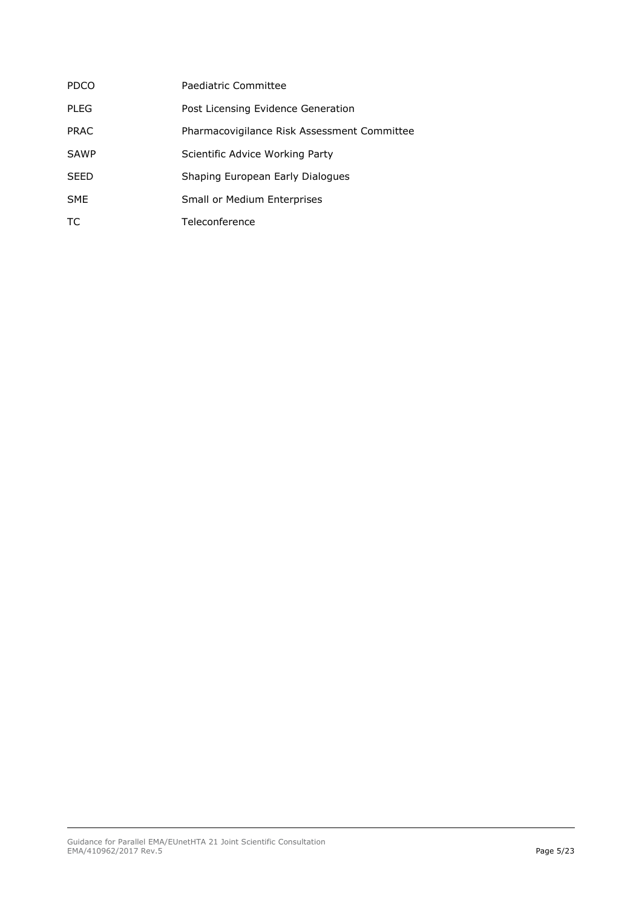| <b>PDCO</b> | Paediatric Committee                        |
|-------------|---------------------------------------------|
| <b>PLEG</b> | Post Licensing Evidence Generation          |
| <b>PRAC</b> | Pharmacovigilance Risk Assessment Committee |
| <b>SAWP</b> | Scientific Advice Working Party             |
| <b>SEED</b> | Shaping European Early Dialogues            |
| <b>SME</b>  | Small or Medium Enterprises                 |
| ТC          | Teleconference                              |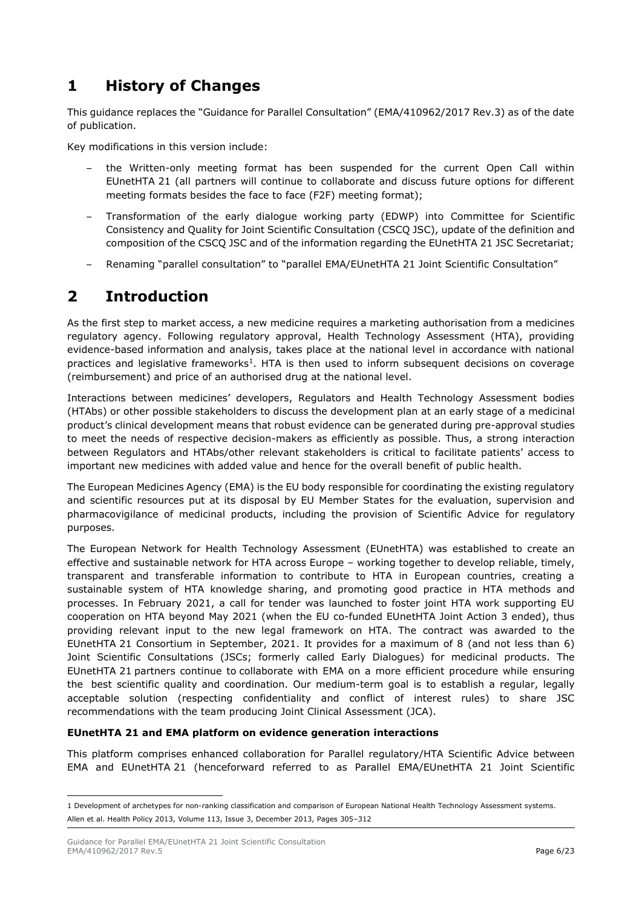# <span id="page-4-0"></span>**1 History of Changes**

This guidance replaces the "Guidance for Parallel Consultation" (EMA/410962/2017 Rev.3) as of the date of publication.

Key modifications in this version include:

- the Written-only meeting format has been suspended for the current Open Call within EUnetHTA 21 (all partners will continue to collaborate and discuss future options for different meeting formats besides the face to face (F2F) meeting format);
- Transformation of the early dialogue working party (EDWP) into Committee for Scientific Consistency and Quality for Joint Scientific Consultation (CSCQ JSC), update of the definition and composition of the CSCQ JSC and of the information regarding the EUnetHTA 21 JSC Secretariat;
- Renaming "parallel consultation" to "parallel EMA/EUnetHTA 21 Joint Scientific Consultation"

# <span id="page-4-1"></span>**2 Introduction**

As the first step to market access, a new medicine requires a marketing authorisation from a medicines regulatory agency. Following regulatory approval, Health Technology Assessment (HTA), providing evidence-based information and analysis, takes place at the national level in accordance with national practices and legislative frameworks<sup>1</sup>. HTA is then used to inform subsequent decisions on coverage (reimbursement) and price of an authorised drug at the national level.

Interactions between medicines' developers, Regulators and Health Technology Assessment bodies (HTAbs) or other possible stakeholders to discuss the development plan at an early stage of a medicinal product's clinical development means that robust evidence can be generated during pre-approval studies to meet the needs of respective decision-makers as efficiently as possible. Thus, a strong interaction between Regulators and HTAbs/other relevant stakeholders is critical to facilitate patients' access to important new medicines with added value and hence for the overall benefit of public health.

The European Medicines Agency (EMA) is the EU body responsible for coordinating the existing regulatory and scientific resources put at its disposal by EU Member States for the evaluation, supervision and pharmacovigilance of medicinal products, including the provision of Scientific Advice for regulatory purposes.

The European Network for Health Technology Assessment (EUnetHTA) was established to create an effective and sustainable network for HTA across Europe – working together to develop reliable, timely, transparent and transferable information to contribute to HTA in European countries, creating a sustainable system of HTA knowledge sharing, and promoting good practice in HTA methods and processes. In February 2021, a call for tender was launched to foster joint HTA work supporting EU cooperation on HTA beyond May 2021 (when the EU co-funded EUnetHTA Joint Action 3 ended), thus providing relevant input to the new legal framework on HTA. The contract was awarded to the EUnetHTA 21 Consortium in September, 2021. It provides for a maximum of 8 (and not less than 6) Joint Scientific Consultations (JSCs; formerly called Early Dialogues) for medicinal products. The EUnetHTA 21 partners continue to collaborate with EMA on a more efficient procedure while ensuring the best scientific quality and coordination. Our medium-term goal is to establish a regular, legally acceptable solution (respecting confidentiality and conflict of interest rules) to share JSC recommendations with the team producing Joint Clinical Assessment (JCA).

### **EUnetHTA 21 and EMA platform on evidence generation interactions**

This platform comprises enhanced collaboration for Parallel regulatory/HTA Scientific Advice between EMA and EUnetHTA 21 (henceforward referred to as Parallel EMA/EUnetHTA 21 Joint Scientific

 $\overline{\phantom{a}}$ 

<sup>1</sup> Development of archetypes for non-ranking classification and comparison of European National Health Technology Assessment systems. Allen et al. Health Policy 2013, Volume 113, Issue 3, December 2013, Pages 305–312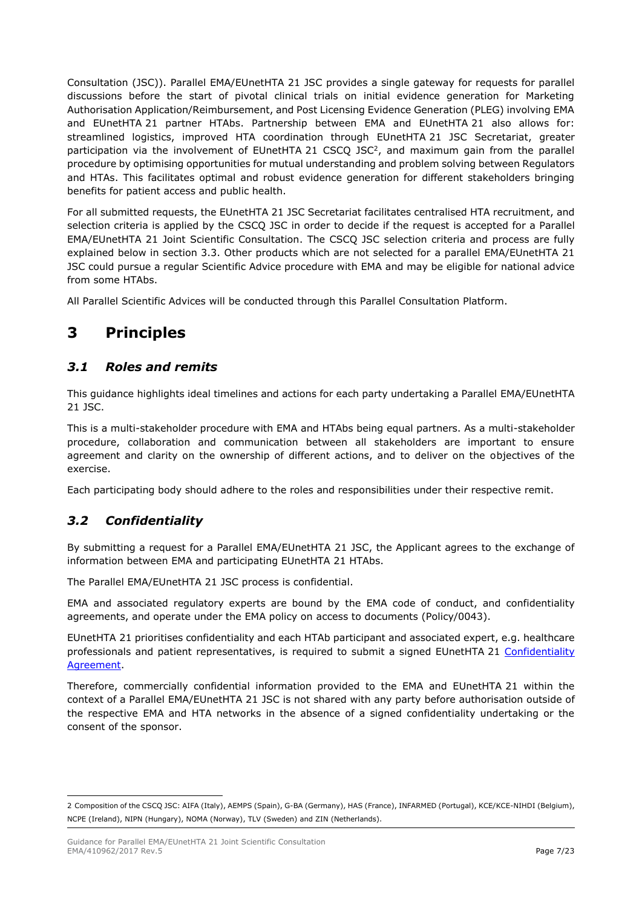Consultation (JSC)). Parallel EMA/EUnetHTA 21 JSC provides a single gateway for requests for parallel discussions before the start of pivotal clinical trials on initial evidence generation for Marketing Authorisation Application/Reimbursement, and Post Licensing Evidence Generation (PLEG) involving EMA and EUnetHTA 21 partner HTAbs. Partnership between EMA and EUnetHTA 21 also allows for: streamlined logistics, improved HTA coordination through EUnetHTA 21 JSC Secretariat, greater participation via the involvement of EUnetHTA 21 CSCQ JSC<sup>2</sup>, and maximum gain from the parallel procedure by optimising opportunities for mutual understanding and problem solving between Regulators and HTAs. This facilitates optimal and robust evidence generation for different stakeholders bringing benefits for patient access and public health.

For all submitted requests, the EUnetHTA 21 JSC Secretariat facilitates centralised HTA recruitment, and selection criteria is applied by the CSCQ JSC in order to decide if the request is accepted for a Parallel EMA/EUnetHTA 21 Joint Scientific Consultation. The CSCQ JSC selection criteria and process are fully explained below in section 3.3. Other products which are not selected for a parallel EMA/EUnetHTA 21 JSC could pursue a regular Scientific Advice procedure with EMA and may be eligible for national advice from some HTAbs.

All Parallel Scientific Advices will be conducted through this Parallel Consultation Platform.

# <span id="page-5-0"></span>**3 Principles**

## <span id="page-5-1"></span>*3.1 Roles and remits*

This guidance highlights ideal timelines and actions for each party undertaking a Parallel EMA/EUnetHTA 21 JSC.

This is a multi-stakeholder procedure with EMA and HTAbs being equal partners. As a multi-stakeholder procedure, collaboration and communication between all stakeholders are important to ensure agreement and clarity on the ownership of different actions, and to deliver on the objectives of the exercise.

Each participating body should adhere to the roles and responsibilities under their respective remit.

## <span id="page-5-2"></span>*3.2 Confidentiality*

By submitting a request for a Parallel EMA/EUnetHTA 21 JSC, the Applicant agrees to the exchange of information between EMA and participating EUnetHTA 21 HTAbs.

The Parallel EMA/EUnetHTA 21 JSC process is confidential.

EMA and associated regulatory experts are bound by the EMA code of conduct, and confidentiality agreements, and operate under the EMA policy on access to documents (Policy/0043).

EUnetHTA 21 prioritises confidentiality and each HTAb participant and associated expert, e.g. healthcare professionals and patient representatives, is required to submit a signed EUnetHTA 21 [Confidentiality](https://www.eunethta.eu/wp-content/uploads/2022/02/EUnetHTA-21-Confidentiality-Agreement_2022.pdf?x37933)  [Agreement.](https://www.eunethta.eu/wp-content/uploads/2022/02/EUnetHTA-21-Confidentiality-Agreement_2022.pdf?x37933)

Therefore, commercially confidential information provided to the EMA and EUnetHTA 21 within the context of a Parallel EMA/EUnetHTA 21 JSC is not shared with any party before authorisation outside of the respective EMA and HTA networks in the absence of a signed confidentiality undertaking or the consent of the sponsor.

 $\overline{\phantom{a}}$ 2 Composition of the CSCQ JSC: AIFA (Italy), AEMPS (Spain), G-BA (Germany), HAS (France), INFARMED (Portugal), KCE/KCE-NIHDI (Belgium), NCPE (Ireland), NIPN (Hungary), NOMA (Norway), TLV (Sweden) and ZIN (Netherlands).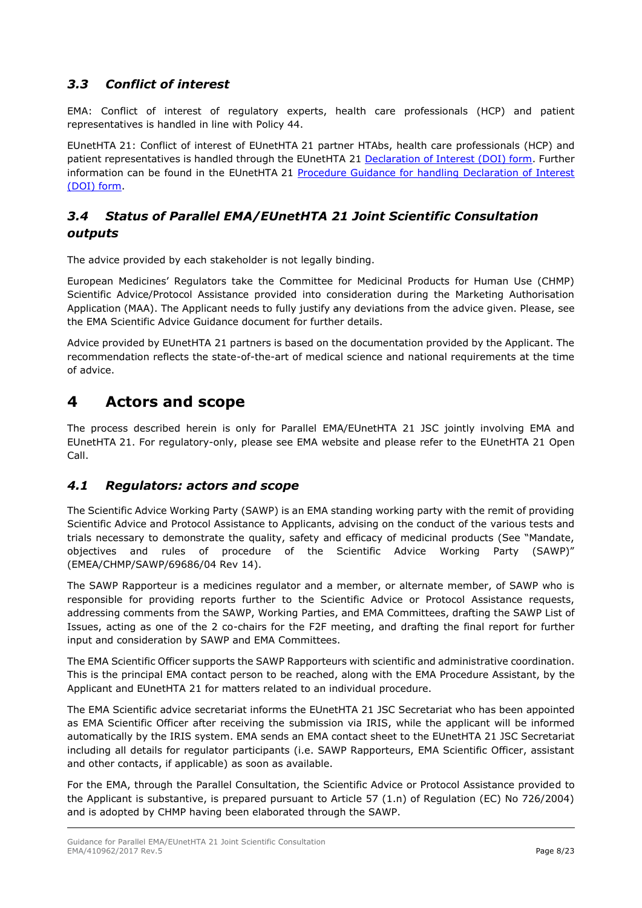## <span id="page-6-0"></span>*3.3 Conflict of interest*

EMA: Conflict of interest of regulatory experts, health care professionals (HCP) and patient representatives is handled in line with Policy 44.

EUnetHTA 21: Conflict of interest of EUnetHTA 21 partner HTAbs, health care professionals (HCP) and patient representatives is handled through the EUnetHTA 21 [Declaration of Interest \(DOI\) form.](https://www.eunethta.eu/wp-content/uploads/2022/02/EUnetHTA-21-Declaration-of-Interest-Form_2022.pdf?x37933) Further information can be found in the EUnetHTA 21 [Procedure Guidance for handling Declaration of Interest](https://www.eunethta.eu/wp-content/uploads/2022/03/D7.5-Procedure-Guidance-for-DOI-and-ECA_final-deliverable-v1.0.pdf?x37933)  [\(DOI\) form.](https://www.eunethta.eu/wp-content/uploads/2022/03/D7.5-Procedure-Guidance-for-DOI-and-ECA_final-deliverable-v1.0.pdf?x37933)

## <span id="page-6-1"></span>*3.4 Status of Parallel EMA/EUnetHTA 21 Joint Scientific Consultation outputs*

The advice provided by each stakeholder is not legally binding.

European Medicines' Regulators take the Committee for Medicinal Products for Human Use (CHMP) Scientific Advice/Protocol Assistance provided into consideration during the Marketing Authorisation Application (MAA). The Applicant needs to fully justify any deviations from the advice given. Please, see the EMA Scientific Advice Guidance document for further details.

Advice provided by EUnetHTA 21 partners is based on the documentation provided by the Applicant. The recommendation reflects the state-of-the-art of medical science and national requirements at the time of advice.

# <span id="page-6-2"></span>**4 Actors and scope**

The process described herein is only for Parallel EMA/EUnetHTA 21 JSC jointly involving EMA and EUnetHTA 21. For regulatory-only, please see EMA website and please refer to the EUnetHTA 21 Open Call.

## <span id="page-6-3"></span>*4.1 Regulators: actors and scope*

The Scientific Advice Working Party (SAWP) is an EMA standing working party with the remit of providing Scientific Advice and Protocol Assistance to Applicants, advising on the conduct of the various tests and trials necessary to demonstrate the quality, safety and efficacy of medicinal products (See "Mandate, objectives and rules of procedure of the Scientific Advice Working Party (SAWP)" (EMEA/CHMP/SAWP/69686/04 Rev 14).

The SAWP Rapporteur is a medicines regulator and a member, or alternate member, of SAWP who is responsible for providing reports further to the Scientific Advice or Protocol Assistance requests, addressing comments from the SAWP, Working Parties, and EMA Committees, drafting the SAWP List of Issues, acting as one of the 2 co-chairs for the F2F meeting, and drafting the final report for further input and consideration by SAWP and EMA Committees.

The EMA Scientific Officer supports the SAWP Rapporteurs with scientific and administrative coordination. This is the principal EMA contact person to be reached, along with the EMA Procedure Assistant, by the Applicant and EUnetHTA 21 for matters related to an individual procedure.

The EMA Scientific advice secretariat informs the EUnetHTA 21 JSC Secretariat who has been appointed as EMA Scientific Officer after receiving the submission via IRIS, while the applicant will be informed automatically by the IRIS system. EMA sends an EMA contact sheet to the EUnetHTA 21 JSC Secretariat including all details for regulator participants (i.e. SAWP Rapporteurs, EMA Scientific Officer, assistant and other contacts, if applicable) as soon as available.

For the EMA, through the Parallel Consultation, the Scientific Advice or Protocol Assistance provided to the Applicant is substantive, is prepared pursuant to Article 57 (1.n) of Regulation (EC) No 726/2004) and is adopted by CHMP having been elaborated through the SAWP.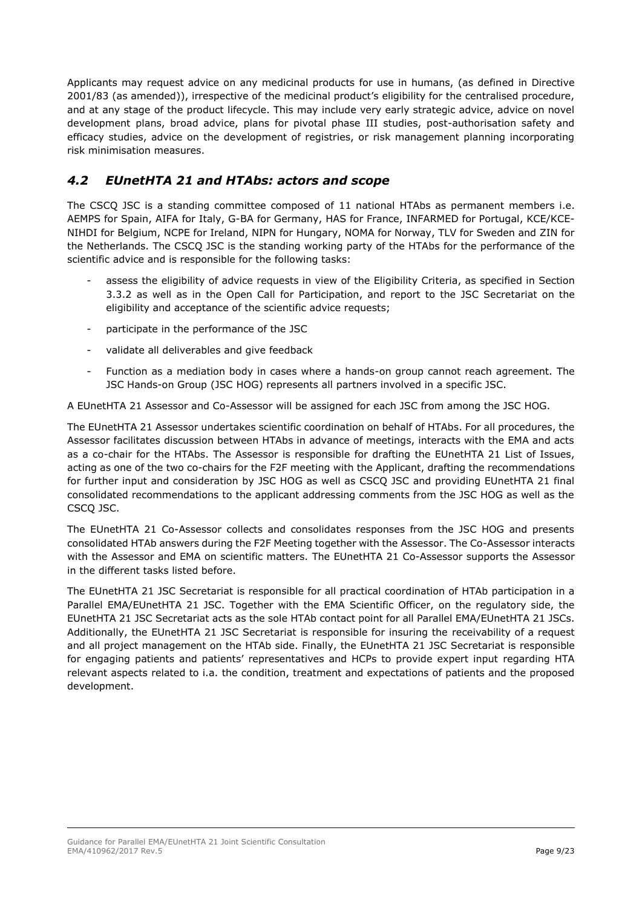Applicants may request advice on any medicinal products for use in humans, (as defined in Directive 2001/83 (as amended)), irrespective of the medicinal product's eligibility for the centralised procedure, and at any stage of the product lifecycle. This may include very early strategic advice, advice on novel development plans, broad advice, plans for pivotal phase III studies, post-authorisation safety and efficacy studies, advice on the development of registries, or risk management planning incorporating risk minimisation measures.

## <span id="page-7-0"></span>*4.2 EUnetHTA 21 and HTAbs: actors and scope*

The CSCQ JSC is a standing committee composed of 11 national HTAbs as permanent members i.e. AEMPS for Spain, AIFA for Italy, G-BA for Germany, HAS for France, INFARMED for Portugal, KCE/KCE-NIHDI for Belgium, NCPE for Ireland, NIPN for Hungary, NOMA for Norway, TLV for Sweden and ZIN for the Netherlands. The CSCQ JSC is the standing working party of the HTAbs for the performance of the scientific advice and is responsible for the following tasks:

- assess the eligibility of advice requests in view of the Eligibility Criteria, as specified in Section 3.3.2 as well as in the Open Call for Participation, and report to the JSC Secretariat on the eligibility and acceptance of the scientific advice requests;
- participate in the performance of the JSC
- validate all deliverables and give feedback
- Function as a mediation body in cases where a hands-on group cannot reach agreement. The JSC Hands-on Group (JSC HOG) represents all partners involved in a specific JSC.

A EUnetHTA 21 Assessor and Co-Assessor will be assigned for each JSC from among the JSC HOG.

The EUnetHTA 21 Assessor undertakes scientific coordination on behalf of HTAbs. For all procedures, the Assessor facilitates discussion between HTAbs in advance of meetings, interacts with the EMA and acts as a co-chair for the HTAbs. The Assessor is responsible for drafting the EUnetHTA 21 List of Issues, acting as one of the two co-chairs for the F2F meeting with the Applicant, drafting the recommendations for further input and consideration by JSC HOG as well as CSCQ JSC and providing EUnetHTA 21 final consolidated recommendations to the applicant addressing comments from the JSC HOG as well as the CSCQ JSC.

The EUnetHTA 21 Co-Assessor collects and consolidates responses from the JSC HOG and presents consolidated HTAb answers during the F2F Meeting together with the Assessor. The Co-Assessor interacts with the Assessor and EMA on scientific matters. The EUnetHTA 21 Co-Assessor supports the Assessor in the different tasks listed before.

The EUnetHTA 21 JSC Secretariat is responsible for all practical coordination of HTAb participation in a Parallel EMA/EUnetHTA 21 JSC. Together with the EMA Scientific Officer, on the regulatory side, the EUnetHTA 21 JSC Secretariat acts as the sole HTAb contact point for all Parallel EMA/EUnetHTA 21 JSCs. Additionally, the EUnetHTA 21 JSC Secretariat is responsible for insuring the receivability of a request and all project management on the HTAb side. Finally, the EUnetHTA 21 JSC Secretariat is responsible for engaging patients and patients' representatives and HCPs to provide expert input regarding HTA relevant aspects related to i.a. the condition, treatment and expectations of patients and the proposed development.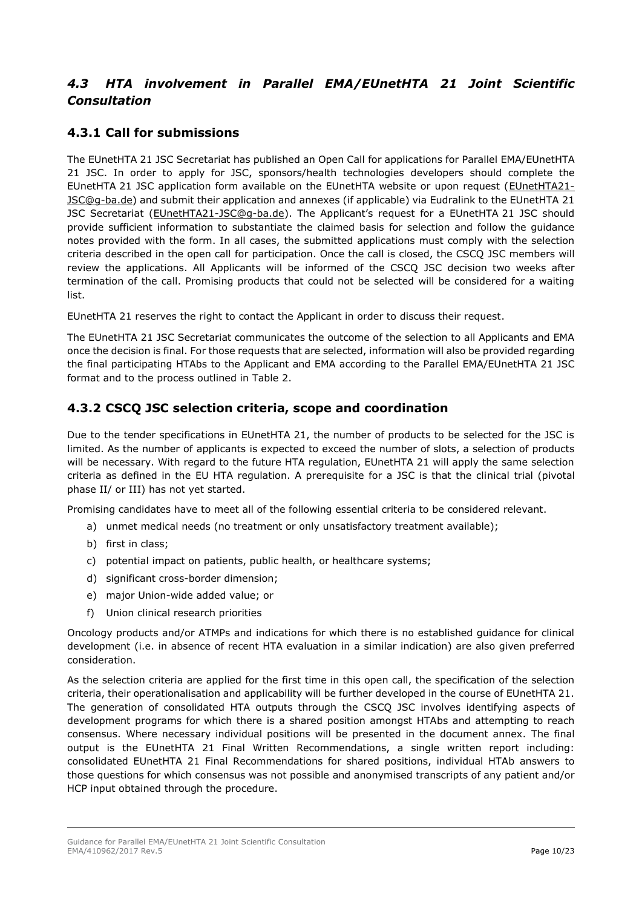# <span id="page-8-0"></span>*4.3 HTA involvement in Parallel EMA/EUnetHTA 21 Joint Scientific Consultation*

# <span id="page-8-1"></span>**4.3.1 Call for submissions**

The EUnetHTA 21 JSC Secretariat has published an Open Call for applications for Parallel EMA/EUnetHTA 21 JSC. In order to apply for JSC, sponsors/health technologies developers should complete the EUnetHTA 21 JSC application form available on the EUnetHTA website or upon request [\(EUnetHTA21-](mailto:EUnetHTA21-JSC@g-ba.de) [JSC@g-ba.de\)](mailto:EUnetHTA21-JSC@g-ba.de) and submit their application and annexes (if applicable) via Eudralink to the EUnetHTA 21 JSC Secretariat (EUnetHTA21-JSC@q-ba.de). The Applicant's request for a EUnetHTA 21 JSC should provide sufficient information to substantiate the claimed basis for selection and follow the guidance notes provided with the form. In all cases, the submitted applications must comply with the selection criteria described in the open call for participation. Once the call is closed, the CSCQ JSC members will review the applications. All Applicants will be informed of the CSCQ JSC decision two weeks after termination of the call. Promising products that could not be selected will be considered for a waiting list.

EUnetHTA 21 reserves the right to contact the Applicant in order to discuss their request.

The EUnetHTA 21 JSC Secretariat communicates the outcome of the selection to all Applicants and EMA once the decision is final. For those requests that are selected, information will also be provided regarding the final participating HTAbs to the Applicant and EMA according to the Parallel EMA/EUnetHTA 21 JSC format and to the process outlined in [Table 2.](#page-15-0)

## <span id="page-8-2"></span>**4.3.2 CSCQ JSC selection criteria, scope and coordination**

Due to the tender specifications in EUnetHTA 21, the number of products to be selected for the JSC is limited. As the number of applicants is expected to exceed the number of slots, a selection of products will be necessary. With regard to the future HTA regulation, EUnetHTA 21 will apply the same selection criteria as defined in the EU HTA regulation. A prerequisite for a JSC is that the clinical trial (pivotal phase II/ or III) has not yet started.

Promising candidates have to meet all of the following essential criteria to be considered relevant.

- a) unmet medical needs (no treatment or only unsatisfactory treatment available);
- b) first in class;
- c) potential impact on patients, public health, or healthcare systems;
- d) significant cross-border dimension;
- e) major Union-wide added value; or
- f) Union clinical research priorities

Oncology products and/or ATMPs and indications for which there is no established guidance for clinical development (i.e. in absence of recent HTA evaluation in a similar indication) are also given preferred consideration.

As the selection criteria are applied for the first time in this open call, the specification of the selection criteria, their operationalisation and applicability will be further developed in the course of EUnetHTA 21. The generation of consolidated HTA outputs through the CSCQ JSC involves identifying aspects of development programs for which there is a shared position amongst HTAbs and attempting to reach consensus. Where necessary individual positions will be presented in the document annex. The final output is the EUnetHTA 21 Final Written Recommendations, a single written report including: consolidated EUnetHTA 21 Final Recommendations for shared positions, individual HTAb answers to those questions for which consensus was not possible and anonymised transcripts of any patient and/or HCP input obtained through the procedure.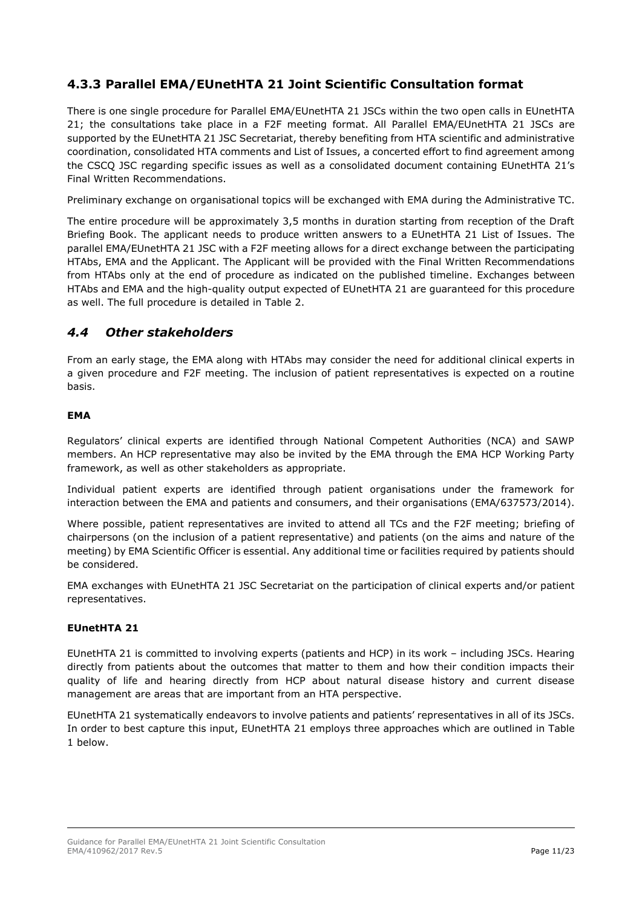## <span id="page-9-0"></span>**4.3.3 Parallel EMA/EUnetHTA 21 Joint Scientific Consultation format**

There is one single procedure for Parallel EMA/EUnetHTA 21 JSCs within the two open calls in EUnetHTA 21; the consultations take place in a F2F meeting format. All Parallel EMA/EUnetHTA 21 JSCs are supported by the EUnetHTA 21 JSC Secretariat, thereby benefiting from HTA scientific and administrative coordination, consolidated HTA comments and List of Issues, a concerted effort to find agreement among the CSCQ JSC regarding specific issues as well as a consolidated document containing EUnetHTA 21's Final Written Recommendations.

Preliminary exchange on organisational topics will be exchanged with EMA during the Administrative TC.

The entire procedure will be approximately 3,5 months in duration starting from reception of the Draft Briefing Book. The applicant needs to produce written answers to a EUnetHTA 21 List of Issues. The parallel EMA/EUnetHTA 21 JSC with a F2F meeting allows for a direct exchange between the participating HTAbs, EMA and the Applicant. The Applicant will be provided with the Final Written Recommendations from HTAbs only at the end of procedure as indicated on the published timeline. Exchanges between HTAbs and EMA and the high-quality output expected of EUnetHTA 21 are guaranteed for this procedure as well. The full procedure is detailed in Table 2.

### <span id="page-9-1"></span>*4.4 Other stakeholders*

From an early stage, the EMA along with HTAbs may consider the need for additional clinical experts in a given procedure and F2F meeting. The inclusion of patient representatives is expected on a routine basis.

#### **EMA**

Regulators' clinical experts are identified through National Competent Authorities (NCA) and SAWP members. An HCP representative may also be invited by the EMA through the EMA HCP Working Party framework, as well as other stakeholders as appropriate.

Individual patient experts are identified through patient organisations under the framework for interaction between the EMA and patients and consumers, and their organisations (EMA/637573/2014).

Where possible, patient representatives are invited to attend all TCs and the F2F meeting; briefing of chairpersons (on the inclusion of a patient representative) and patients (on the aims and nature of the meeting) by EMA Scientific Officer is essential. Any additional time or facilities required by patients should be considered.

EMA exchanges with EUnetHTA 21 JSC Secretariat on the participation of clinical experts and/or patient representatives.

#### **EUnetHTA 21**

EUnetHTA 21 is committed to involving experts (patients and HCP) in its work – including JSCs. Hearing directly from patients about the outcomes that matter to them and how their condition impacts their quality of life and hearing directly from HCP about natural disease history and current disease management are areas that are important from an HTA perspective.

EUnetHTA 21 systematically endeavors to involve patients and patients' representatives in all of its JSCs. In order to best capture this input, EUnetHTA 21 employs three approaches which are outlined in [Table](#page-10-2)  [1](#page-10-2) below.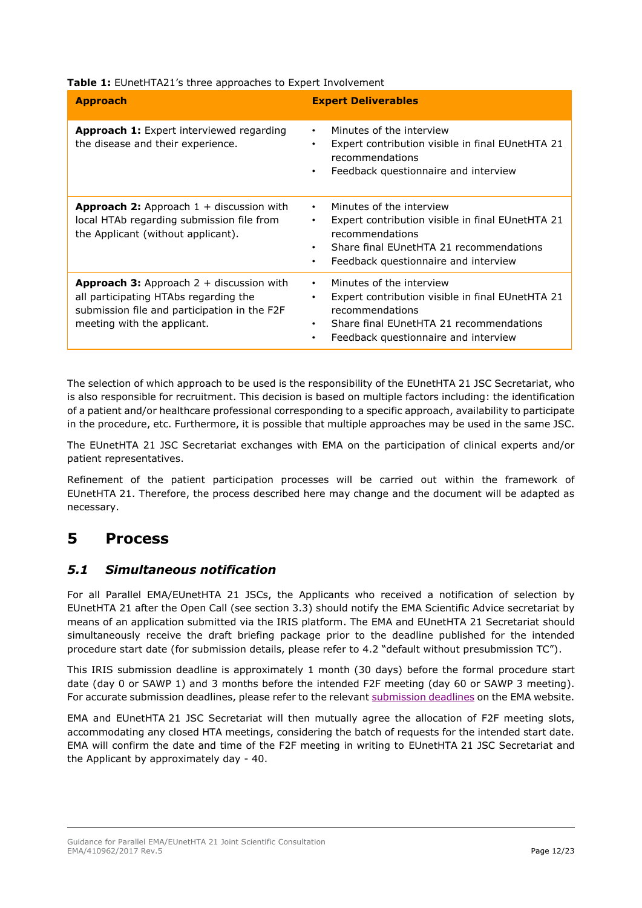| Table 1: EUnetHTA21's three approaches to Expert Involvement                                                                               |                                                                                                                                                                                                                                |  |  |
|--------------------------------------------------------------------------------------------------------------------------------------------|--------------------------------------------------------------------------------------------------------------------------------------------------------------------------------------------------------------------------------|--|--|
| <b>Approach</b>                                                                                                                            | <b>Expert Deliverables</b>                                                                                                                                                                                                     |  |  |
| Approach 1: Expert interviewed regarding<br>the disease and their experience.                                                              | Minutes of the interview<br>Expert contribution visible in final EUnetHTA 21<br>$\bullet$<br>recommendations<br>Feedback questionnaire and interview<br>$\bullet$                                                              |  |  |
| <b>Approach 2:</b> Approach $1 +$ discussion with<br>local HTAb regarding submission file from<br>the Applicant (without applicant).       | Minutes of the interview<br>$\bullet$<br>Expert contribution visible in final EUnetHTA 21<br>٠<br>recommendations<br>Share final EUnetHTA 21 recommendations<br>$\bullet$<br>Feedback questionnaire and interview<br>$\bullet$ |  |  |
| <b>Approach 3:</b> Approach $2 +$ discussion with<br>all participating HTAbs regarding the<br>submission file and participation in the F2F | Minutes of the interview<br>$\bullet$<br>Expert contribution visible in final EUnetHTA 21<br>٠<br>recommendations                                                                                                              |  |  |

<span id="page-10-2"></span>

|  |  |  | Table 1: EUnetHTA21's three approaches to Expert Involvement |
|--|--|--|--------------------------------------------------------------|
|--|--|--|--------------------------------------------------------------|

The selection of which approach to be used is the responsibility of the EUnetHTA 21 JSC Secretariat, who is also responsible for recruitment. This decision is based on multiple factors including: the identification of a patient and/or healthcare professional corresponding to a specific approach, availability to participate in the procedure, etc. Furthermore, it is possible that multiple approaches may be used in the same JSC.

• Share final EUnetHTA 21 recommendations • Feedback questionnaire and interview

The EUnetHTA 21 JSC Secretariat exchanges with EMA on the participation of clinical experts and/or patient representatives.

Refinement of the patient participation processes will be carried out within the framework of EUnetHTA 21. Therefore, the process described here may change and the document will be adapted as necessary.

# <span id="page-10-0"></span>**5 Process**

meeting with the applicant.

## <span id="page-10-1"></span>*5.1 Simultaneous notification*

For all Parallel EMA/EUnetHTA 21 JSCs, the Applicants who received a notification of selection by EUnetHTA 21 after the Open Call (see section 3.3) should notify the EMA Scientific Advice secretariat by means of an application submitted via the IRIS platform. The EMA and EUnetHTA 21 Secretariat should simultaneously receive the draft briefing package prior to the deadline published for the intended procedure start date (for submission details, please refer to 4.2 "default without presubmission TC").

This IRIS submission deadline is approximately 1 month (30 days) before the formal procedure start date (day 0 or SAWP 1) and 3 months before the intended F2F meeting (day 60 or SAWP 3 meeting). For accurate submission deadlines, please refer to the relevant [submission deadlines](https://www.ema.europa.eu/en/human-regulatory/research-development/scientific-advice-protocol-assistance/scientific-advice-protocol-assistance-regulatory-procedural-guidance) on the EMA website.

EMA and EUnetHTA 21 JSC Secretariat will then mutually agree the allocation of F2F meeting slots, accommodating any closed HTA meetings, considering the batch of requests for the intended start date. EMA will confirm the date and time of the F2F meeting in writing to EUnetHTA 21 JSC Secretariat and the Applicant by approximately day - 40.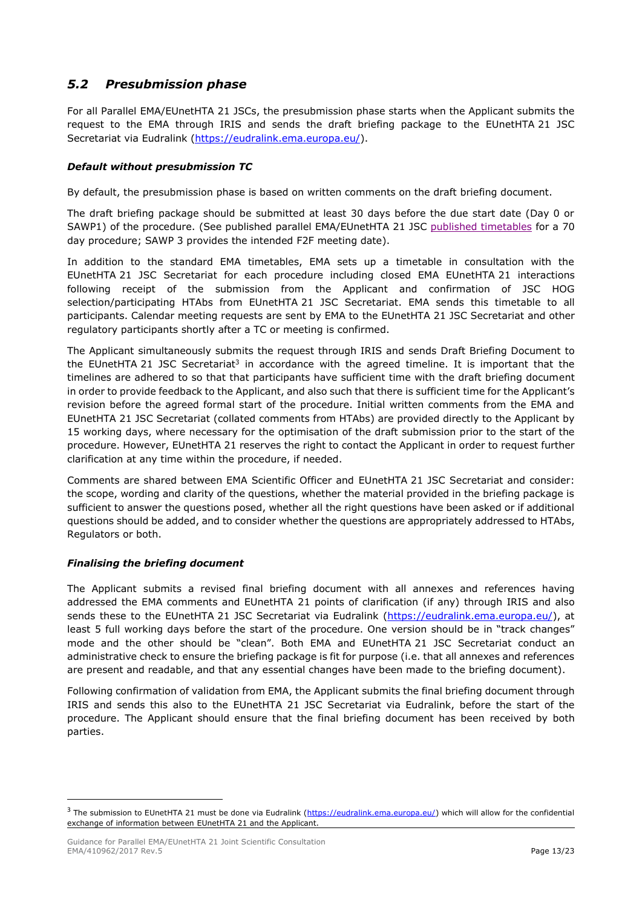## <span id="page-11-0"></span>*5.2 Presubmission phase*

For all Parallel EMA/EUnetHTA 21 JSCs, the presubmission phase starts when the Applicant submits the request to the EMA through IRIS and sends the draft briefing package to the EUnetHTA 21 JSC Secretariat via Eudralink [\(https://eudralink.ema.europa.eu/\)](https://eudralink.ema.europa.eu/).

### *Default without presubmission TC*

By default, the presubmission phase is based on written comments on the draft briefing document.

The draft briefing package should be submitted at least 30 days before the due start date (Day 0 or SAWP1) of the procedure. (See published parallel EMA/EUnetHTA 21 JSC [published timetables](http://www.ema.europa.eu/ema/index.jsp?curl=pages/regulation/document_listing/document_listing_000122.jsp&mid=WC0b01ac0580022bb2) for a 70 day procedure; SAWP 3 provides the intended F2F meeting date).

In addition to the standard EMA timetables, EMA sets up a timetable in consultation with the EUnetHTA 21 JSC Secretariat for each procedure including closed EMA EUnetHTA 21 interactions following receipt of the submission from the Applicant and confirmation of JSC HOG selection/participating HTAbs from EUnetHTA 21 JSC Secretariat. EMA sends this timetable to all participants. Calendar meeting requests are sent by EMA to the EUnetHTA 21 JSC Secretariat and other regulatory participants shortly after a TC or meeting is confirmed.

The Applicant simultaneously submits the request through IRIS and sends Draft Briefing Document to the EUnetHTA 21 JSC Secretariat<sup>3</sup> in accordance with the agreed timeline. It is important that the timelines are adhered to so that that participants have sufficient time with the draft briefing document in order to provide feedback to the Applicant, and also such that there is sufficient time for the Applicant's revision before the agreed formal start of the procedure. Initial written comments from the EMA and EUnetHTA 21 JSC Secretariat (collated comments from HTAbs) are provided directly to the Applicant by 15 working days, where necessary for the optimisation of the draft submission prior to the start of the procedure. However, EUnetHTA 21 reserves the right to contact the Applicant in order to request further clarification at any time within the procedure, if needed.

Comments are shared between EMA Scientific Officer and EUnetHTA 21 JSC Secretariat and consider: the scope, wording and clarity of the questions, whether the material provided in the briefing package is sufficient to answer the questions posed, whether all the right questions have been asked or if additional questions should be added, and to consider whether the questions are appropriately addressed to HTAbs, Regulators or both.

### *Finalising the briefing document*

 $\overline{a}$ 

The Applicant submits a revised final briefing document with all annexes and references having addressed the EMA comments and EUnetHTA 21 points of clarification (if any) through IRIS and also sends these to the EUnetHTA 21 JSC Secretariat via Eudralink [\(https://eudralink.ema.europa.eu/\)](https://eudralink.ema.europa.eu/), at least 5 full working days before the start of the procedure. One version should be in "track changes" mode and the other should be "clean". Both EMA and EUnetHTA 21 JSC Secretariat conduct an administrative check to ensure the briefing package is fit for purpose (i.e. that all annexes and references are present and readable, and that any essential changes have been made to the briefing document).

Following confirmation of validation from EMA, the Applicant submits the final briefing document through IRIS and sends this also to the EUnetHTA 21 JSC Secretariat via Eudralink, before the start of the procedure. The Applicant should ensure that the final briefing document has been received by both parties.

<sup>&</sup>lt;sup>3</sup> The submission to EUnetHTA 21 must be done via Eudralink [\(https://eudralink.ema.europa.eu/\)](https://eudralink.ema.europa.eu/) which will allow for the confidential exchange of information between EUnetHTA 21 and the Applicant.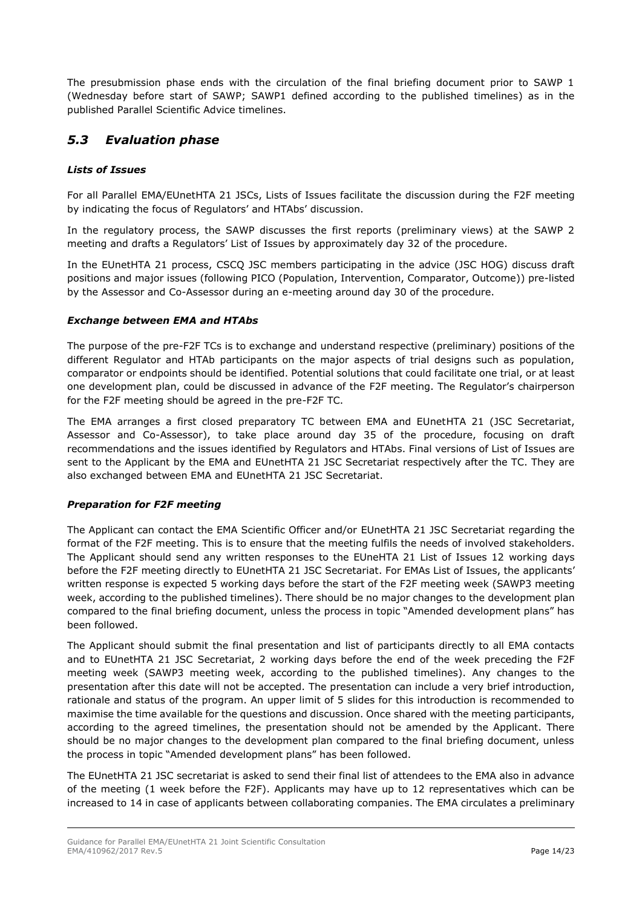The presubmission phase ends with the circulation of the final briefing document prior to SAWP 1 (Wednesday before start of SAWP; SAWP1 defined according to the published timelines) as in the published Parallel Scientific Advice timelines.

## <span id="page-12-0"></span>*5.3 Evaluation phase*

### *Lists of Issues*

For all Parallel EMA/EUnetHTA 21 JSCs, Lists of Issues facilitate the discussion during the F2F meeting by indicating the focus of Regulators' and HTAbs' discussion.

In the regulatory process, the SAWP discusses the first reports (preliminary views) at the SAWP 2 meeting and drafts a Regulators' List of Issues by approximately day 32 of the procedure.

In the EUnetHTA 21 process, CSCQ JSC members participating in the advice (JSC HOG) discuss draft positions and major issues (following PICO (Population, Intervention, Comparator, Outcome)) pre-listed by the Assessor and Co-Assessor during an e-meeting around day 30 of the procedure.

### *Exchange between EMA and HTAbs*

The purpose of the pre-F2F TCs is to exchange and understand respective (preliminary) positions of the different Regulator and HTAb participants on the major aspects of trial designs such as population, comparator or endpoints should be identified. Potential solutions that could facilitate one trial, or at least one development plan, could be discussed in advance of the F2F meeting. The Regulator's chairperson for the F2F meeting should be agreed in the pre-F2F TC.

The EMA arranges a first closed preparatory TC between EMA and EUnetHTA 21 (JSC Secretariat, Assessor and Co-Assessor), to take place around day 35 of the procedure, focusing on draft recommendations and the issues identified by Regulators and HTAbs. Final versions of List of Issues are sent to the Applicant by the EMA and EUnetHTA 21 JSC Secretariat respectively after the TC. They are also exchanged between EMA and EUnetHTA 21 JSC Secretariat.

### *Preparation for F2F meeting*

The Applicant can contact the EMA Scientific Officer and/or EUnetHTA 21 JSC Secretariat regarding the format of the F2F meeting. This is to ensure that the meeting fulfils the needs of involved stakeholders. The Applicant should send any written responses to the EUneHTA 21 List of Issues 12 working days before the F2F meeting directly to EUnetHTA 21 JSC Secretariat. For EMAs List of Issues, the applicants' written response is expected 5 working days before the start of the F2F meeting week (SAWP3 meeting week, according to the published timelines). There should be no major changes to the development plan compared to the final briefing document, unless the process in topic "Amended development plans" has been followed.

The Applicant should submit the final presentation and list of participants directly to all EMA contacts and to EUnetHTA 21 JSC Secretariat, 2 working days before the end of the week preceding the F2F meeting week (SAWP3 meeting week, according to the published timelines). Any changes to the presentation after this date will not be accepted. The presentation can include a very brief introduction, rationale and status of the program. An upper limit of 5 slides for this introduction is recommended to maximise the time available for the questions and discussion. Once shared with the meeting participants, according to the agreed timelines, the presentation should not be amended by the Applicant. There should be no major changes to the development plan compared to the final briefing document, unless the process in topic "Amended development plans" has been followed.

The EUnetHTA 21 JSC secretariat is asked to send their final list of attendees to the EMA also in advance of the meeting (1 week before the F2F). Applicants may have up to 12 representatives which can be increased to 14 in case of applicants between collaborating companies. The EMA circulates a preliminary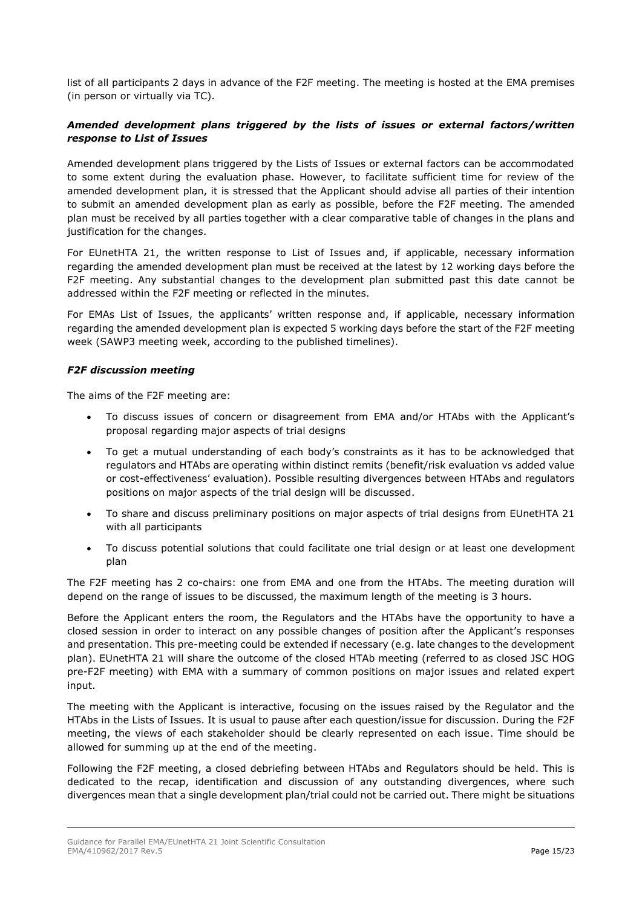list of all participants 2 days in advance of the F2F meeting. The meeting is hosted at the EMA premises (in person or virtually via TC).

### *Amended development plans triggered by the lists of issues or external factors/written response to List of Issues*

Amended development plans triggered by the Lists of Issues or external factors can be accommodated to some extent during the evaluation phase. However, to facilitate sufficient time for review of the amended development plan, it is stressed that the Applicant should advise all parties of their intention to submit an amended development plan as early as possible, before the F2F meeting. The amended plan must be received by all parties together with a clear comparative table of changes in the plans and justification for the changes.

For EUnetHTA 21, the written response to List of Issues and, if applicable, necessary information regarding the amended development plan must be received at the latest by 12 working days before the F2F meeting. Any substantial changes to the development plan submitted past this date cannot be addressed within the F2F meeting or reflected in the minutes.

For EMAs List of Issues, the applicants' written response and, if applicable, necessary information regarding the amended development plan is expected 5 working days before the start of the F2F meeting week (SAWP3 meeting week, according to the published timelines).

### *F2F discussion meeting*

The aims of the F2F meeting are:

- To discuss issues of concern or disagreement from EMA and/or HTAbs with the Applicant's proposal regarding major aspects of trial designs
- To get a mutual understanding of each body's constraints as it has to be acknowledged that regulators and HTAbs are operating within distinct remits (benefit/risk evaluation vs added value or cost-effectiveness' evaluation). Possible resulting divergences between HTAbs and regulators positions on major aspects of the trial design will be discussed.
- To share and discuss preliminary positions on major aspects of trial designs from EUnetHTA 21 with all participants
- To discuss potential solutions that could facilitate one trial design or at least one development plan

The F2F meeting has 2 co-chairs: one from EMA and one from the HTAbs. The meeting duration will depend on the range of issues to be discussed, the maximum length of the meeting is 3 hours.

Before the Applicant enters the room, the Regulators and the HTAbs have the opportunity to have a closed session in order to interact on any possible changes of position after the Applicant's responses and presentation. This pre-meeting could be extended if necessary (e.g. late changes to the development plan). EUnetHTA 21 will share the outcome of the closed HTAb meeting (referred to as closed JSC HOG pre-F2F meeting) with EMA with a summary of common positions on major issues and related expert input.

The meeting with the Applicant is interactive, focusing on the issues raised by the Regulator and the HTAbs in the Lists of Issues. It is usual to pause after each question/issue for discussion. During the F2F meeting, the views of each stakeholder should be clearly represented on each issue. Time should be allowed for summing up at the end of the meeting.

Following the F2F meeting, a closed debriefing between HTAbs and Regulators should be held. This is dedicated to the recap, identification and discussion of any outstanding divergences, where such divergences mean that a single development plan/trial could not be carried out. There might be situations

Guidance for Parallel EMA/EUnetHTA 21 Joint Scientific Consultation EMA/410962/2017 Rev.5 **Page 15/23**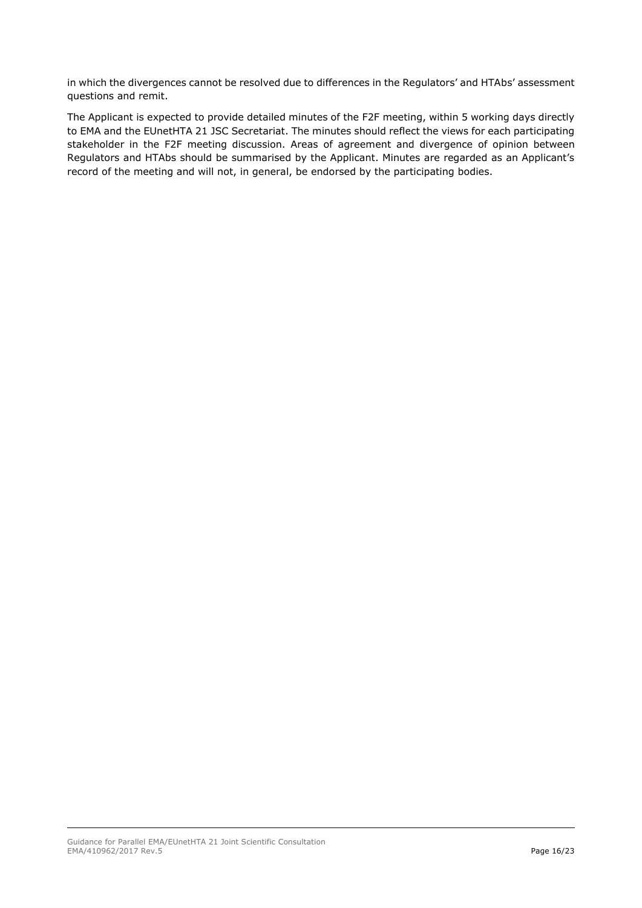in which the divergences cannot be resolved due to differences in the Regulators' and HTAbs' assessment questions and remit.

The Applicant is expected to provide detailed minutes of the F2F meeting, within 5 working days directly to EMA and the EUnetHTA 21 JSC Secretariat. The minutes should reflect the views for each participating stakeholder in the F2F meeting discussion. Areas of agreement and divergence of opinion between Regulators and HTAbs should be summarised by the Applicant. Minutes are regarded as an Applicant's record of the meeting and will not, in general, be endorsed by the participating bodies.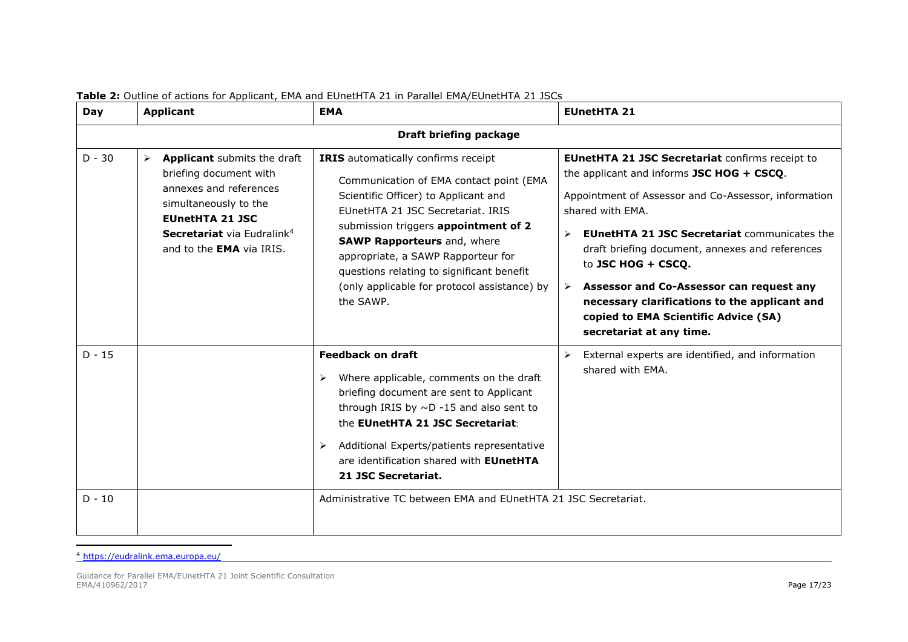| <b>Day</b> | <b>Applicant</b>                                                                                                                                                                                                                         | <b>EMA</b>                                                                                                                                                                                                                                                                                                                                                                                | <b>EUnetHTA 21</b>                                                                                                                                                                                                                                                                                                                                                                                                                                                                                             |
|------------|------------------------------------------------------------------------------------------------------------------------------------------------------------------------------------------------------------------------------------------|-------------------------------------------------------------------------------------------------------------------------------------------------------------------------------------------------------------------------------------------------------------------------------------------------------------------------------------------------------------------------------------------|----------------------------------------------------------------------------------------------------------------------------------------------------------------------------------------------------------------------------------------------------------------------------------------------------------------------------------------------------------------------------------------------------------------------------------------------------------------------------------------------------------------|
|            |                                                                                                                                                                                                                                          | Draft briefing package                                                                                                                                                                                                                                                                                                                                                                    |                                                                                                                                                                                                                                                                                                                                                                                                                                                                                                                |
| $D - 30$   | Applicant submits the draft<br>$\blacktriangleright$<br>briefing document with<br>annexes and references<br>simultaneously to the<br><b>EUnetHTA 21 JSC</b><br>Secretariat via Eudralink <sup>4</sup><br>and to the <b>EMA</b> via IRIS. | IRIS automatically confirms receipt<br>Communication of EMA contact point (EMA<br>Scientific Officer) to Applicant and<br>EUnetHTA 21 JSC Secretariat, IRIS<br>submission triggers appointment of 2<br><b>SAWP Rapporteurs and, where</b><br>appropriate, a SAWP Rapporteur for<br>questions relating to significant benefit<br>(only applicable for protocol assistance) by<br>the SAWP. | <b>EUnetHTA 21 JSC Secretariat confirms receipt to</b><br>the applicant and informs JSC HOG + CSCQ.<br>Appointment of Assessor and Co-Assessor, information<br>shared with EMA.<br><b>EUnetHTA 21 JSC Secretariat communicates the</b><br>$\blacktriangleright$<br>draft briefing document, annexes and references<br>to JSC HOG + CSCQ.<br>Assessor and Co-Assessor can request any<br>➤<br>necessary clarifications to the applicant and<br>copied to EMA Scientific Advice (SA)<br>secretariat at any time. |
| $D - 15$   |                                                                                                                                                                                                                                          | <b>Feedback on draft</b><br>Where applicable, comments on the draft<br>➤<br>briefing document are sent to Applicant<br>through IRIS by $\sim$ D -15 and also sent to<br>the EUnetHTA 21 JSC Secretariat:<br>Additional Experts/patients representative<br>➤<br>are identification shared with <b>EUnetHTA</b><br>21 JSC Secretariat.                                                      | External experts are identified, and information<br>$\blacktriangleright$<br>shared with EMA.                                                                                                                                                                                                                                                                                                                                                                                                                  |
| $D - 10$   |                                                                                                                                                                                                                                          | Administrative TC between EMA and EUnetHTA 21 JSC Secretariat.                                                                                                                                                                                                                                                                                                                            |                                                                                                                                                                                                                                                                                                                                                                                                                                                                                                                |

### **Table 2:** Outline of actions for Applicant, EMA and EUnetHTA 21 in Parallel EMA/EUnetHTA 21 JSCs

<span id="page-15-0"></span><sup>4</sup> <https://eudralink.ema.europa.eu/>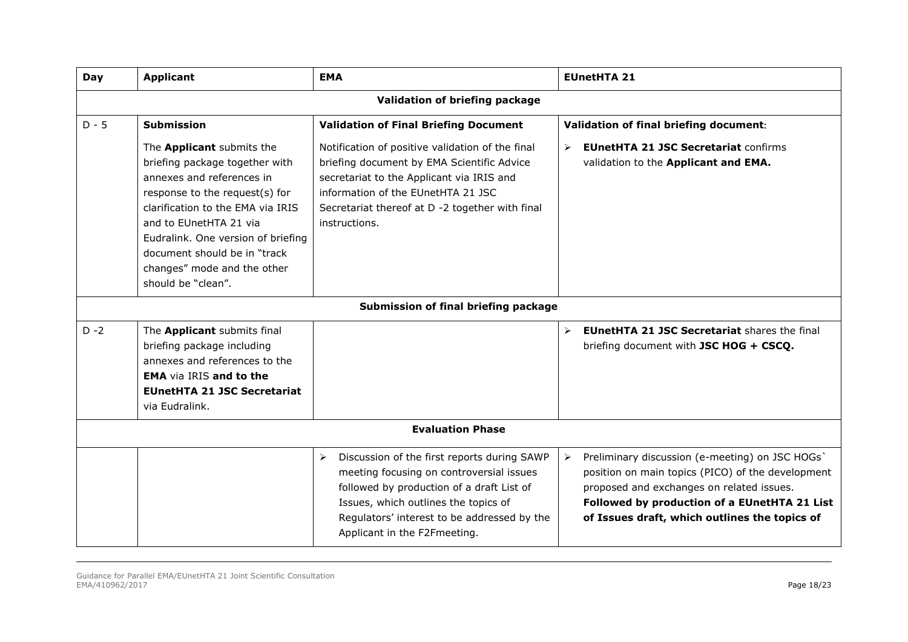| <b>Day</b> | <b>Applicant</b>                                                                                                                                                                                                                                                                                                     | <b>EMA</b>                                                                                                                                                                                                                                                                           | <b>EUnetHTA 21</b>                                                                                                                                                                                                                                                          |  |  |
|------------|----------------------------------------------------------------------------------------------------------------------------------------------------------------------------------------------------------------------------------------------------------------------------------------------------------------------|--------------------------------------------------------------------------------------------------------------------------------------------------------------------------------------------------------------------------------------------------------------------------------------|-----------------------------------------------------------------------------------------------------------------------------------------------------------------------------------------------------------------------------------------------------------------------------|--|--|
|            | Validation of briefing package                                                                                                                                                                                                                                                                                       |                                                                                                                                                                                                                                                                                      |                                                                                                                                                                                                                                                                             |  |  |
| $D - 5$    | <b>Submission</b>                                                                                                                                                                                                                                                                                                    | <b>Validation of Final Briefing Document</b>                                                                                                                                                                                                                                         | Validation of final briefing document:                                                                                                                                                                                                                                      |  |  |
|            | The Applicant submits the<br>briefing package together with<br>annexes and references in<br>response to the request(s) for<br>clarification to the EMA via IRIS<br>and to EUnetHTA 21 via<br>Eudralink. One version of briefing<br>document should be in "track<br>changes" mode and the other<br>should be "clean". | Notification of positive validation of the final<br>briefing document by EMA Scientific Advice<br>secretariat to the Applicant via IRIS and<br>information of the EUnetHTA 21 JSC<br>Secretariat thereof at D -2 together with final<br>instructions.                                | <b>EUnetHTA 21 JSC Secretariat confirms</b><br>$\blacktriangleright$<br>validation to the Applicant and EMA.                                                                                                                                                                |  |  |
|            |                                                                                                                                                                                                                                                                                                                      | Submission of final briefing package                                                                                                                                                                                                                                                 |                                                                                                                                                                                                                                                                             |  |  |
| $D - 2$    | The Applicant submits final<br>briefing package including<br>annexes and references to the<br><b>EMA</b> via IRIS and to the<br><b>EUnetHTA 21 JSC Secretariat</b><br>via Eudralink.                                                                                                                                 |                                                                                                                                                                                                                                                                                      | <b>EUnetHTA 21 JSC Secretariat shares the final</b><br>$\blacktriangleright$<br>briefing document with JSC HOG + CSCQ.                                                                                                                                                      |  |  |
|            |                                                                                                                                                                                                                                                                                                                      | <b>Evaluation Phase</b>                                                                                                                                                                                                                                                              |                                                                                                                                                                                                                                                                             |  |  |
|            |                                                                                                                                                                                                                                                                                                                      | $\blacktriangleright$<br>Discussion of the first reports during SAWP<br>meeting focusing on controversial issues<br>followed by production of a draft List of<br>Issues, which outlines the topics of<br>Regulators' interest to be addressed by the<br>Applicant in the F2Fmeeting. | Preliminary discussion (e-meeting) on JSC HOGs'<br>$\blacktriangleright$<br>position on main topics (PICO) of the development<br>proposed and exchanges on related issues.<br>Followed by production of a EUnetHTA 21 List<br>of Issues draft, which outlines the topics of |  |  |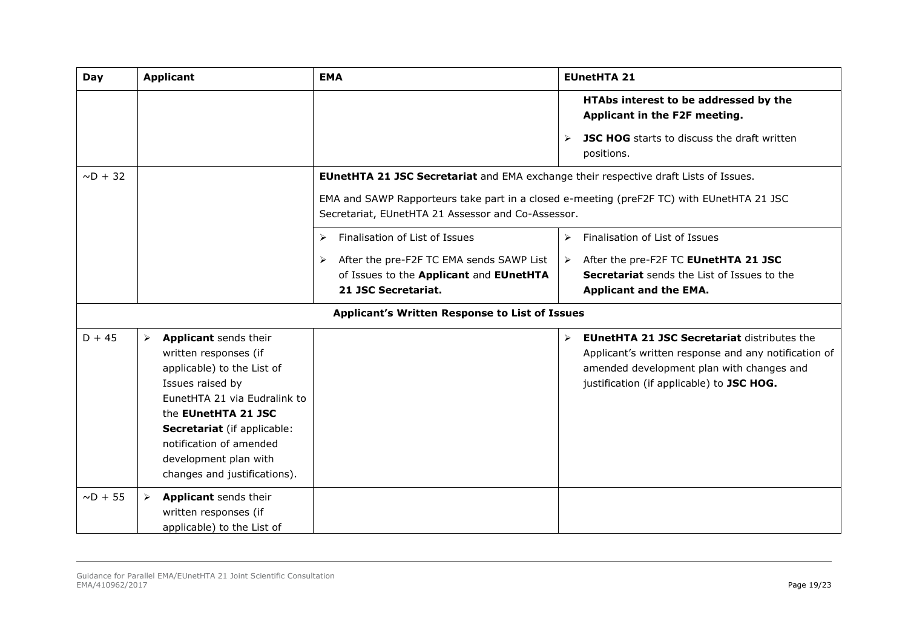| <b>Day</b>    | <b>Applicant</b>                                                                                                                                                                                                                                                                                    | <b>EMA</b>                                                                                                                                                                                                                                     | <b>EUnetHTA 21</b>                                                                                                                                                                                                       |
|---------------|-----------------------------------------------------------------------------------------------------------------------------------------------------------------------------------------------------------------------------------------------------------------------------------------------------|------------------------------------------------------------------------------------------------------------------------------------------------------------------------------------------------------------------------------------------------|--------------------------------------------------------------------------------------------------------------------------------------------------------------------------------------------------------------------------|
|               |                                                                                                                                                                                                                                                                                                     |                                                                                                                                                                                                                                                | HTAbs interest to be addressed by the<br>Applicant in the F2F meeting.<br><b>JSC HOG</b> starts to discuss the draft written<br>$\blacktriangleright$<br>positions.                                                      |
| $\sim$ D + 32 |                                                                                                                                                                                                                                                                                                     | <b>EUnetHTA 21 JSC Secretariat</b> and EMA exchange their respective draft Lists of Issues.<br>EMA and SAWP Rapporteurs take part in a closed e-meeting (preF2F TC) with EUnetHTA 21 JSC<br>Secretariat, EUnetHTA 21 Assessor and Co-Assessor. |                                                                                                                                                                                                                          |
|               |                                                                                                                                                                                                                                                                                                     | Finalisation of List of Issues<br>➤<br>After the pre-F2F TC EMA sends SAWP List<br>➤<br>of Issues to the Applicant and EUnetHTA<br>21 JSC Secretariat.                                                                                         | Finalisation of List of Issues<br>$\blacktriangleright$<br>After the pre-F2F TC EUnetHTA 21 JSC<br>$\triangleright$<br><b>Secretariat</b> sends the List of Issues to the<br><b>Applicant and the EMA.</b>               |
|               |                                                                                                                                                                                                                                                                                                     | Applicant's Written Response to List of Issues                                                                                                                                                                                                 |                                                                                                                                                                                                                          |
| $D + 45$      | Applicant sends their<br>$\blacktriangleright$<br>written responses (if<br>applicable) to the List of<br>Issues raised by<br>EunetHTA 21 via Eudralink to<br>the EUnetHTA 21 JSC<br>Secretariat (if applicable:<br>notification of amended<br>development plan with<br>changes and justifications). |                                                                                                                                                                                                                                                | <b>EUnetHTA 21 JSC Secretariat distributes the</b><br>$\triangleright$<br>Applicant's written response and any notification of<br>amended development plan with changes and<br>justification (if applicable) to JSC HOG. |
| $\sim$ D + 55 | Applicant sends their<br>➤<br>written responses (if<br>applicable) to the List of                                                                                                                                                                                                                   |                                                                                                                                                                                                                                                |                                                                                                                                                                                                                          |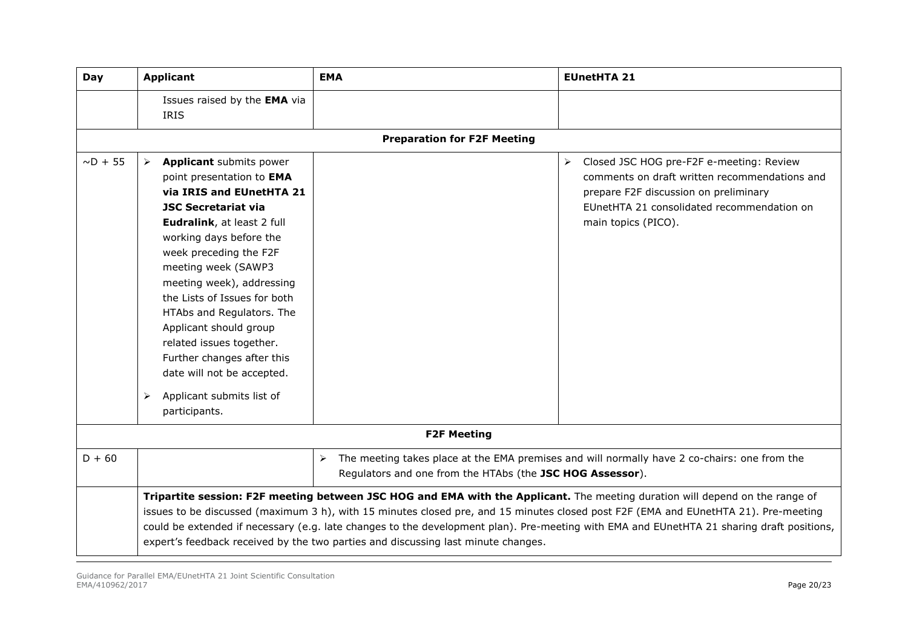| Day           | <b>Applicant</b>                                                                                                                                                                                                                                                                                                                                                                                                                                                                                                        | <b>EMA</b>                                                                         | <b>EUnetHTA 21</b>                                                                                                                                                                                                                                                                                                                                                                                               |
|---------------|-------------------------------------------------------------------------------------------------------------------------------------------------------------------------------------------------------------------------------------------------------------------------------------------------------------------------------------------------------------------------------------------------------------------------------------------------------------------------------------------------------------------------|------------------------------------------------------------------------------------|------------------------------------------------------------------------------------------------------------------------------------------------------------------------------------------------------------------------------------------------------------------------------------------------------------------------------------------------------------------------------------------------------------------|
|               | Issues raised by the EMA via<br><b>IRIS</b>                                                                                                                                                                                                                                                                                                                                                                                                                                                                             |                                                                                    |                                                                                                                                                                                                                                                                                                                                                                                                                  |
|               |                                                                                                                                                                                                                                                                                                                                                                                                                                                                                                                         | <b>Preparation for F2F Meeting</b>                                                 |                                                                                                                                                                                                                                                                                                                                                                                                                  |
| $\sim$ D + 55 | <b>Applicant</b> submits power<br>$\blacktriangleright$<br>point presentation to EMA<br>via IRIS and EUnetHTA 21<br><b>JSC Secretariat via</b><br>Eudralink, at least 2 full<br>working days before the<br>week preceding the F2F<br>meeting week (SAWP3<br>meeting week), addressing<br>the Lists of Issues for both<br>HTAbs and Regulators. The<br>Applicant should group<br>related issues together.<br>Further changes after this<br>date will not be accepted.<br>Applicant submits list of<br>➤<br>participants. |                                                                                    | Closed JSC HOG pre-F2F e-meeting: Review<br>$\blacktriangleright$<br>comments on draft written recommendations and<br>prepare F2F discussion on preliminary<br>EUnetHTA 21 consolidated recommendation on<br>main topics (PICO).                                                                                                                                                                                 |
|               |                                                                                                                                                                                                                                                                                                                                                                                                                                                                                                                         | <b>F2F Meeting</b>                                                                 |                                                                                                                                                                                                                                                                                                                                                                                                                  |
| $D + 60$      |                                                                                                                                                                                                                                                                                                                                                                                                                                                                                                                         | $\blacktriangleright$<br>Regulators and one from the HTAbs (the JSC HOG Assessor). | The meeting takes place at the EMA premises and will normally have 2 co-chairs: one from the                                                                                                                                                                                                                                                                                                                     |
|               |                                                                                                                                                                                                                                                                                                                                                                                                                                                                                                                         | expert's feedback received by the two parties and discussing last minute changes.  | Tripartite session: F2F meeting between JSC HOG and EMA with the Applicant. The meeting duration will depend on the range of<br>issues to be discussed (maximum 3 h), with 15 minutes closed pre, and 15 minutes closed post F2F (EMA and EUnetHTA 21). Pre-meeting<br>could be extended if necessary (e.g. late changes to the development plan). Pre-meeting with EMA and EUnetHTA 21 sharing draft positions, |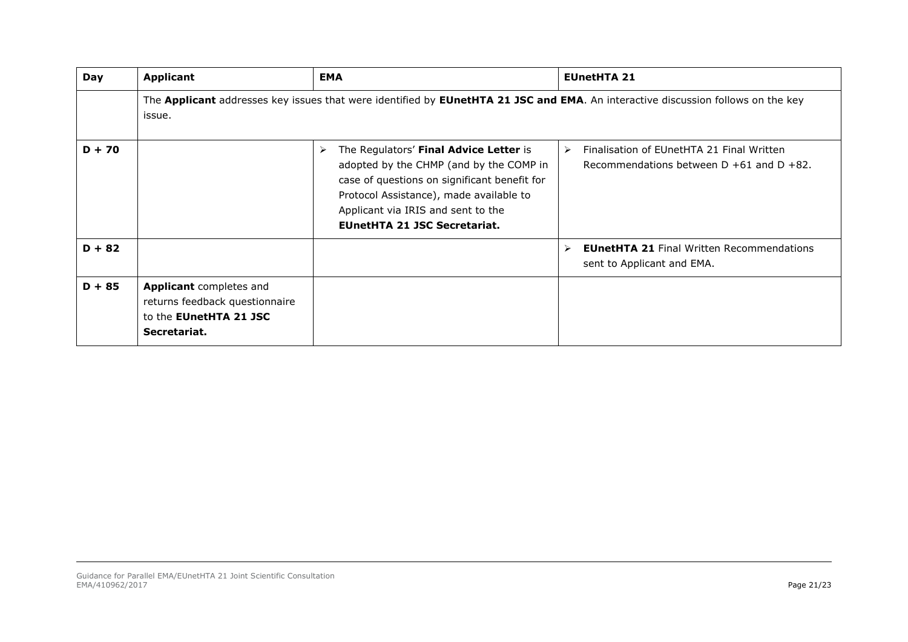| Day      | <b>Applicant</b>                                                                                                  | <b>EMA</b>                                                                                                                                                                                                                                                                         | <b>EUnetHTA 21</b>                                                                                                               |
|----------|-------------------------------------------------------------------------------------------------------------------|------------------------------------------------------------------------------------------------------------------------------------------------------------------------------------------------------------------------------------------------------------------------------------|----------------------------------------------------------------------------------------------------------------------------------|
|          | issue.                                                                                                            |                                                                                                                                                                                                                                                                                    | The Applicant addresses key issues that were identified by EUnetHTA 21 JSC and EMA. An interactive discussion follows on the key |
| $D + 70$ |                                                                                                                   | The Regulators' Final Advice Letter is<br>$\blacktriangleright$<br>adopted by the CHMP (and by the COMP in<br>case of questions on significant benefit for<br>Protocol Assistance), made available to<br>Applicant via IRIS and sent to the<br><b>EUnetHTA 21 JSC Secretariat.</b> | Finalisation of EUnetHTA 21 Final Written<br>$\triangleright$<br>Recommendations between $D + 61$ and $D + 82$ .                 |
| $D + 82$ |                                                                                                                   |                                                                                                                                                                                                                                                                                    | <b>EUnetHTA 21 Final Written Recommendations</b><br>$\triangleright$<br>sent to Applicant and EMA.                               |
| $D + 85$ | <b>Applicant</b> completes and<br>returns feedback questionnaire<br>to the <b>EUnetHTA 21 JSC</b><br>Secretariat. |                                                                                                                                                                                                                                                                                    |                                                                                                                                  |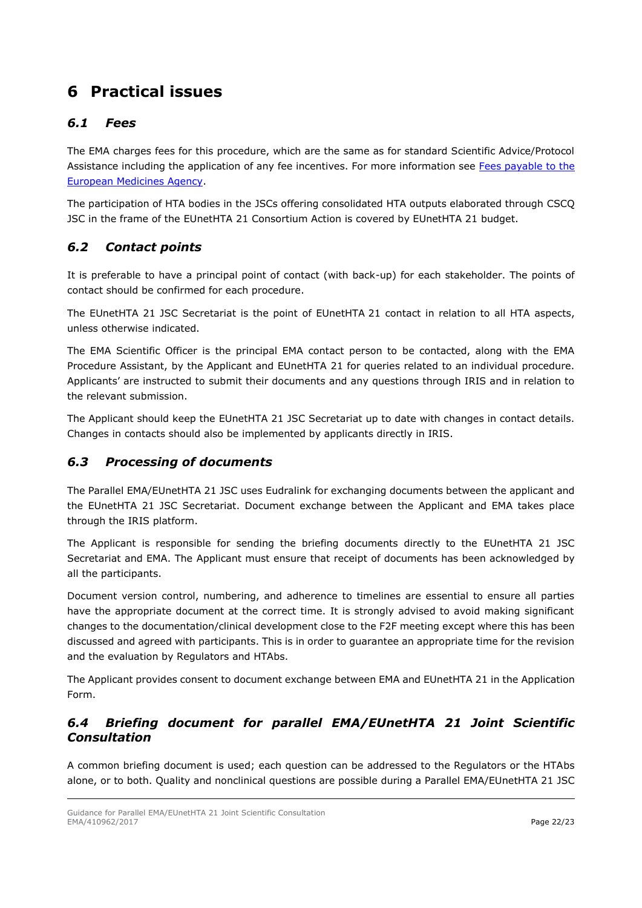# <span id="page-20-0"></span>**6 Practical issues**

## <span id="page-20-1"></span>*6.1 Fees*

The EMA charges fees for this procedure, which are the same as for standard Scientific Advice/Protocol Assistance including the application of any fee incentives. For more information see Fees payable to the [European Medicines Agency.](http://www.ema.europa.eu/ema/index.jsp?curl=pages/regulation/document_listing/document_listing_000327.jsp&mid=WC0b01ac0580024596)

The participation of HTA bodies in the JSCs offering consolidated HTA outputs elaborated through CSCQ JSC in the frame of the EUnetHTA 21 Consortium Action is covered by EUnetHTA 21 budget.

# <span id="page-20-2"></span>*6.2 Contact points*

It is preferable to have a principal point of contact (with back-up) for each stakeholder. The points of contact should be confirmed for each procedure.

The EUnetHTA 21 JSC Secretariat is the point of EUnetHTA 21 contact in relation to all HTA aspects, unless otherwise indicated.

The EMA Scientific Officer is the principal EMA contact person to be contacted, along with the EMA Procedure Assistant, by the Applicant and EUnetHTA 21 for queries related to an individual procedure. Applicants' are instructed to submit their documents and any questions through IRIS and in relation to the relevant submission.

The Applicant should keep the EUnetHTA 21 JSC Secretariat up to date with changes in contact details. Changes in contacts should also be implemented by applicants directly in IRIS.

## <span id="page-20-3"></span>*6.3 Processing of documents*

The Parallel EMA/EUnetHTA 21 JSC uses Eudralink for exchanging documents between the applicant and the EUnetHTA 21 JSC Secretariat. Document exchange between the Applicant and EMA takes place through the IRIS platform.

The Applicant is responsible for sending the briefing documents directly to the EUnetHTA 21 JSC Secretariat and EMA. The Applicant must ensure that receipt of documents has been acknowledged by all the participants.

Document version control, numbering, and adherence to timelines are essential to ensure all parties have the appropriate document at the correct time. It is strongly advised to avoid making significant changes to the documentation/clinical development close to the F2F meeting except where this has been discussed and agreed with participants. This is in order to guarantee an appropriate time for the revision and the evaluation by Regulators and HTAbs.

The Applicant provides consent to document exchange between EMA and EUnetHTA 21 in the Application Form.

## <span id="page-20-4"></span>*6.4 Briefing document for parallel EMA/EUnetHTA 21 Joint Scientific Consultation*

A common briefing document is used; each question can be addressed to the Regulators or the HTAbs alone, or to both. Quality and nonclinical questions are possible during a Parallel EMA/EUnetHTA 21 JSC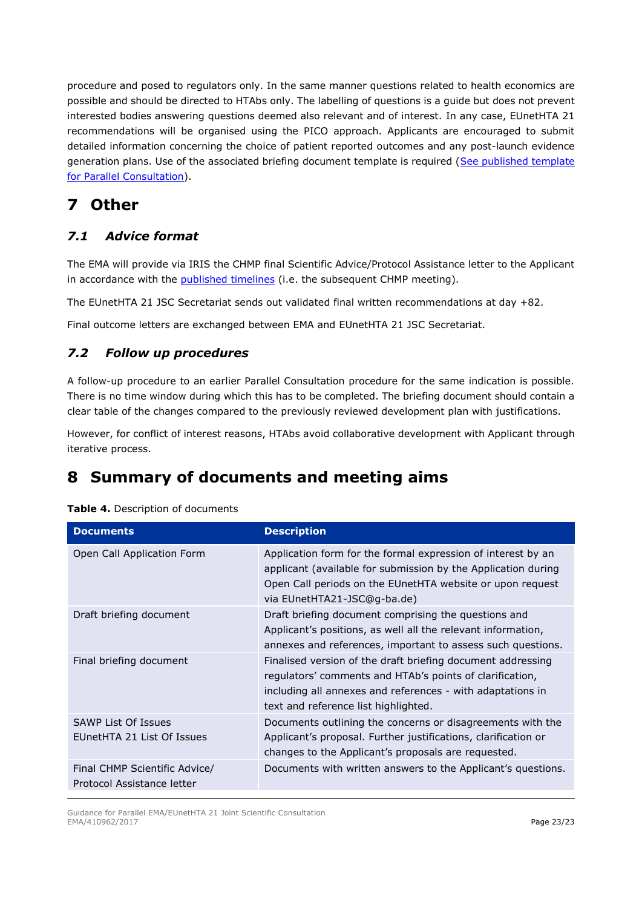procedure and posed to regulators only. In the same manner questions related to health economics are possible and should be directed to HTAbs only. The labelling of questions is a guide but does not prevent interested bodies answering questions deemed also relevant and of interest. In any case, EUnetHTA 21 recommendations will be organised using the PICO approach. Applicants are encouraged to submit detailed information concerning the choice of patient reported outcomes and any post-launch evidence generation plans. Use of the associated briefing document template is required [\(See published template](https://www.eunethta.eu/jointhtawork/parallel-consultation/)  [for Parallel Consultation\)](https://www.eunethta.eu/jointhtawork/parallel-consultation/).

# <span id="page-21-0"></span>**7 Other**

# <span id="page-21-1"></span>*7.1 Advice format*

The EMA will provide via IRIS the CHMP final Scientific Advice/Protocol Assistance letter to the Applicant in accordance with the [published timelines](http://www.ema.europa.eu/ema/index.jsp?curl=pages/regulation/document_listing/document_listing_000122.jsp&mid=WC0b01ac0580022bb2) (i.e. the subsequent CHMP meeting).

The EUnetHTA 21 JSC Secretariat sends out validated final written recommendations at day +82.

Final outcome letters are exchanged between EMA and EUnetHTA 21 JSC Secretariat.

## <span id="page-21-2"></span>*7.2 Follow up procedures*

A follow-up procedure to an earlier Parallel Consultation procedure for the same indication is possible. There is no time window during which this has to be completed. The briefing document should contain a clear table of the changes compared to the previously reviewed development plan with justifications.

However, for conflict of interest reasons, HTAbs avoid collaborative development with Applicant through iterative process.

# <span id="page-21-3"></span>**8 Summary of documents and meeting aims**

| <b>Documents</b>                                            | <b>Description</b>                                                                                                                                                                                                            |
|-------------------------------------------------------------|-------------------------------------------------------------------------------------------------------------------------------------------------------------------------------------------------------------------------------|
| Open Call Application Form                                  | Application form for the formal expression of interest by an<br>applicant (available for submission by the Application during<br>Open Call periods on the EUnetHTA website or upon request<br>via EUnetHTA21-JSC@g-ba.de)     |
| Draft briefing document                                     | Draft briefing document comprising the questions and<br>Applicant's positions, as well all the relevant information,<br>annexes and references, important to assess such questions.                                           |
| Final briefing document                                     | Finalised version of the draft briefing document addressing<br>regulators' comments and HTAb's points of clarification,<br>including all annexes and references - with adaptations in<br>text and reference list highlighted. |
| <b>SAWP List Of Issues</b><br>EUnetHTA 21 List Of Issues    | Documents outlining the concerns or disagreements with the<br>Applicant's proposal. Further justifications, clarification or<br>changes to the Applicant's proposals are requested.                                           |
| Final CHMP Scientific Advice/<br>Protocol Assistance letter | Documents with written answers to the Applicant's questions.                                                                                                                                                                  |

### **Table 4.** Description of documents

Guidance for Parallel EMA/EUnetHTA 21 Joint Scientific Consultation EMA/410962/2017 **Page 23/23**